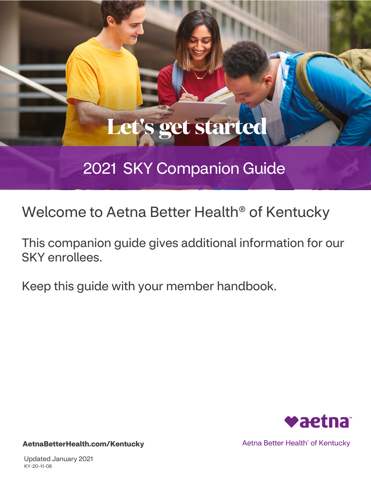# **Let's get started**

## 2021 SKY Companion Guide

Welcome to Aetna Better Health® of Kentucky

This companion guide gives additional information for our SKY enrollees.

Keep this guide with your member handbook.



Aetna Better Health˚ of Kentucky

**[AetnaBetterHealth.com/](https://www.aetnabetterhealth.com/Virginia)Kentucky**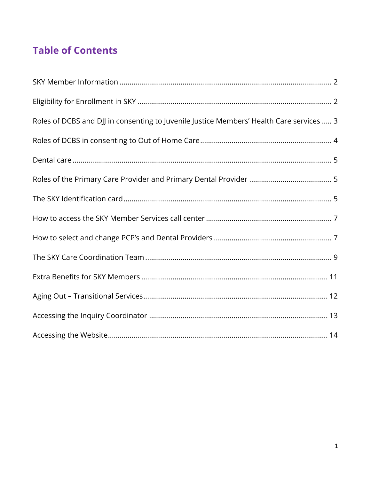## **Table of Contents**

| Roles of DCBS and DJJ in consenting to Juvenile Justice Members' Health Care services  3 |  |
|------------------------------------------------------------------------------------------|--|
|                                                                                          |  |
|                                                                                          |  |
|                                                                                          |  |
|                                                                                          |  |
|                                                                                          |  |
|                                                                                          |  |
|                                                                                          |  |
|                                                                                          |  |
|                                                                                          |  |
|                                                                                          |  |
|                                                                                          |  |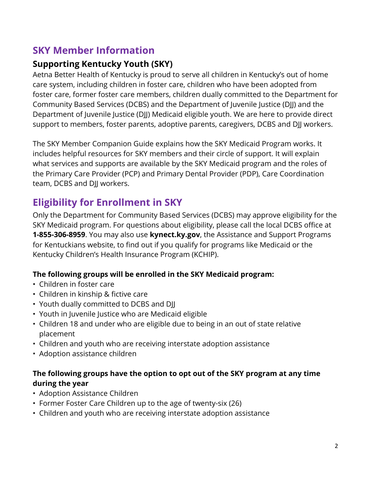## <span id="page-2-0"></span>**SKY Member Information**

#### **Supporting Kentucky Youth (SKY)**

Aetna Better Health of Kentucky is proud to serve all children in Kentucky's out of home care system, including children in foster care, children who have been adopted from foster care, former foster care members, children dually committed to the Department for Community Based Services (DCBS) and the Department of Juvenile Justice (DJJ) and the Department of Juvenile Justice (DJJ) Medicaid eligible youth. We are here to provide direct support to members, foster parents, adoptive parents, caregivers, DCBS and DJJ workers.

The SKY Member Companion Guide explains how the SKY Medicaid Program works. It includes helpful resources for SKY members and their circle of support. It will explain what services and supports are available by the SKY Medicaid program and the roles of the Primary Care Provider (PCP) and Primary Dental Provider (PDP), Care Coordination team, DCBS and DJJ workers.

## <span id="page-2-1"></span>**Eligibility for Enrollment in SKY**

Only the Department for Community Based Services (DCBS) may approve eligibility for the SKY Medicaid program. For questions about eligibility, please call the local DCBS office at **1-855-306-8959**. You may also use **kynect.ky.gov**, the Assistance and Support Programs for Kentuckians website, to find out if you qualify for programs like Medicaid or the Kentucky Children's Health Insurance Program (KCHIP).

#### **The following groups will be enrolled in the SKY Medicaid program:**

- Children in foster care
- Children in kinship & fictive care
- Youth dually committed to DCBS and DJJ
- Youth in Juvenile Justice who are Medicaid eligible
- Children 18 and under who are eligible due to being in an out of state relative placement
- Children and youth who are receiving interstate adoption assistance
- Adoption assistance children

#### **The following groups have the option to opt out of the SKY program at any time during the year**

- Adoption Assistance Children
- Former Foster Care Children up to the age of twenty-six (26)
- Children and youth who are receiving interstate adoption assistance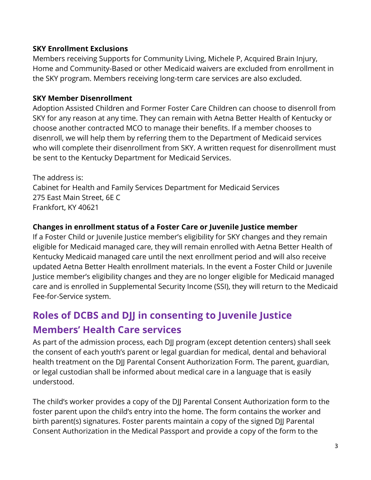#### **SKY Enrollment Exclusions**

Members receiving Supports for Community Living, Michele P, Acquired Brain Injury, Home and Community-Based or other Medicaid waivers are excluded from enrollment in the SKY program. Members receiving long-term care services are also excluded.

#### **SKY Member Disenrollment**

Adoption Assisted Children and Former Foster Care Children can choose to disenroll from SKY for any reason at any time. They can remain with Aetna Better Health of Kentucky or choose another contracted MCO to manage their benefits. If a member chooses to disenroll, we will help them by referring them to the Department of Medicaid services who will complete their disenrollment from SKY. A written request for disenrollment must be sent to the Kentucky Department for Medicaid Services.

The address is: Cabinet for Health and Family Services Department for Medicaid Services 275 East Main Street, 6E C Frankfort, KY 40621

#### **Changes in enrollment status of a Foster Care or Juvenile Justice member**

If a Foster Child or Juvenile Justice member's eligibility for SKY changes and they remain eligible for Medicaid managed care, they will remain enrolled with Aetna Better Health of Kentucky Medicaid managed care until the next enrollment period and will also receive updated Aetna Better Health enrollment materials. In the event a Foster Child or Juvenile Justice member's eligibility changes and they are no longer eligible for Medicaid managed care and is enrolled in Supplemental Security Income (SSI), they will return to the Medicaid Fee-for-Service system.

## <span id="page-3-0"></span>**Roles of DCBS and DJJ in consenting to Juvenile Justice Members' Health Care services**

As part of the admission process, each DJJ program (except detention centers) shall seek the consent of each youth's parent or legal guardian for medical, dental and behavioral health treatment on the DJJ Parental Consent Authorization Form. The parent, guardian, or legal custodian shall be informed about medical care in a language that is easily understood.

The child's worker provides a copy of the DJJ Parental Consent Authorization form to the foster parent upon the child's entry into the home. The form contains the worker and birth parent(s) signatures. Foster parents maintain a copy of the signed DJJ Parental Consent Authorization in the Medical Passport and provide a copy of the form to the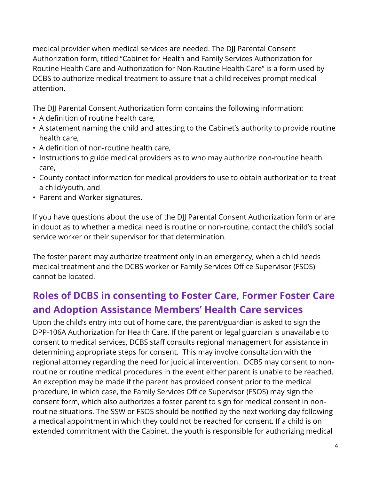medical provider when medical services are needed. The DJJ Parental Consent Authorization form, titled "Cabinet for Health and Family Services Authorization for Routine Health Care and Authorization for Non-Routine Health Care" is a form used by DCBS to authorize medical treatment to assure that a child receives prompt medical attention.

The DJJ Parental Consent Authorization form contains the following information:

- A definition of routine health care,
- A statement naming the child and attesting to the Cabinet's authority to provide routine health care,
- A definition of non-routine health care,
- Instructions to guide medical providers as to who may authorize non-routine health care,
- County contact information for medical providers to use to obtain authorization to treat a child/youth, and
- Parent and Worker signatures.

If you have questions about the use of the DJJ Parental Consent Authorization form or are in doubt as to whether a medical need is routine or non-routine, contact the child's social service worker or their supervisor for that determination.

The foster parent may authorize treatment only in an emergency, when a child needs medical treatment and the DCBS worker or Family Services Office Supervisor (FSOS) cannot be located.

## <span id="page-4-0"></span>**Roles of DCBS in consenting to Foster Care, Former Foster Care and Adoption Assistance Members' Health Care services**

Upon the child's entry into out of home care, the parent/guardian is asked to sign the DPP-106A Authorization for Health Care. If the parent or legal guardian is unavailable to consent to medical services, DCBS staff consults regional management for assistance in determining appropriate steps for consent. This may involve consultation with the regional attorney regarding the need for judicial intervention. DCBS may consent to nonroutine or routine medical procedures in the event either parent is unable to be reached. An exception may be made if the parent has provided consent prior to the medical procedure, in which case, the Family Services Office Supervisor (FSOS) may sign the consent form, which also authorizes a foster parent to sign for medical consent in nonroutine situations. The SSW or FSOS should be notified by the next working day following a medical appointment in which they could not be reached for consent. If a child is on extended commitment with the Cabinet, the youth is responsible for authorizing medical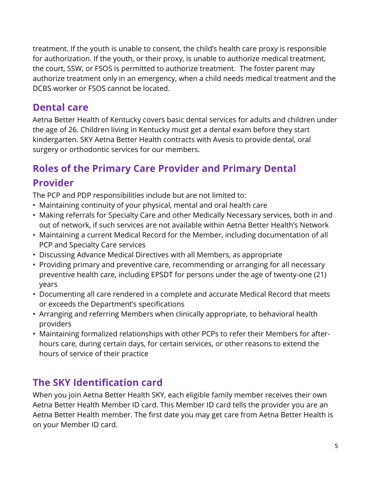treatment. If the youth is unable to consent, the child's health care proxy is responsible for authorization. If the youth, or their proxy, is unable to authorize medical treatment, the court, SSW, or FSOS is permitted to authorize treatment. The foster parent may authorize treatment only in an emergency, when a child needs medical treatment and the DCBS worker or FSOS cannot be located.

## <span id="page-5-0"></span>**Dental care**

Aetna Better Health of Kentucky covers basic dental services for adults and children under the age of 26. Children living in Kentucky must get a dental exam before they start kindergarten. SKY Aetna Better Health contracts with Avesis to provide dental, oral surgery or orthodontic services for our members.

## <span id="page-5-1"></span>**Roles of the Primary Care Provider and Primary Dental Provider**

The PCP and PDP responsibilities include but are not limited to:

- Maintaining continuity of your physical, mental and oral health care
- Making referrals for Specialty Care and other Medically Necessary services, both in and out of network, if such services are not available within Aetna Better Health's Network
- Maintaining a current Medical Record for the Member, including documentation of all PCP and Specialty Care services
- Discussing Advance Medical Directives with all Members, as appropriate
- Providing primary and preventive care, recommending or arranging for all necessary preventive health care, including EPSDT for persons under the age of twenty-one (21) years
- Documenting all care rendered in a complete and accurate Medical Record that meets or exceeds the Department's specifications
- Arranging and referring Members when clinically appropriate, to behavioral health providers
- Maintaining formalized relationships with other PCPs to refer their Members for afterhours care, during certain days, for certain services, or other reasons to extend the hours of service of their practice

## <span id="page-5-2"></span>**The SKY Identification card**

When you join Aetna Better Health SKY, each eligible family member receives their own Aetna Better Health Member ID card. This Member ID card tells the provider you are an Aetna Better Health member. The first date you may get care from Aetna Better Health is on your Member ID card.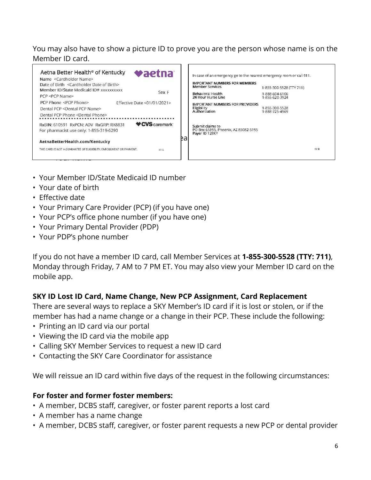#### You may also have to show a picture ID to prove you are the person whose name is on the Member ID card.



- Your Member ID/State Medicaid ID number
- Your date of birth
- Effective date
- Your Primary Care Provider (PCP) (if you have one)
- Your PCP's office phone number (if you have one)
- Your Primary Dental Provider (PDP)
- Your PDP's phone number

If you do not have a member ID card, call Member Services at **1-855-300-5528 (TTY: 711)**, Monday through Friday, 7 AM to 7 PM ET. You may also view your Member ID card on the mobile app.

#### **SKY ID Lost ID Card, Name Change, New PCP Assignment, Card Replacement**

There are several ways to replace a SKY Member's ID card if it is lost or stolen, or if the member has had a name change or a change in their PCP. These include the following:

- Printing an ID card via our portal
- Viewing the ID card via the mobile app
- Calling SKY Member Services to request a new ID card
- Contacting the SKY Care Coordinator for assistance

We will reissue an ID card within five days of the request in the following circumstances:

#### **For foster and former foster members:**

- A member, DCBS staff, caregiver, or foster parent reports a lost card
- A member has a name change
- A member, DCBS staff, caregiver, or foster parent requests a new PCP or dental provider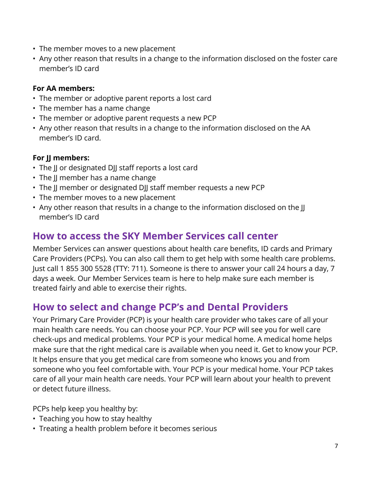- The member moves to a new placement
- Any other reason that results in a change to the information disclosed on the foster care member's ID card

#### **For AA members:**

- The member or adoptive parent reports a lost card
- The member has a name change
- The member or adoptive parent requests a new PCP
- Any other reason that results in a change to the information disclosed on the AA member's ID card.

#### **For JJ members:**

- The JJ or designated DJJ staff reports a lost card
- The II member has a name change
- The JJ member or designated DJJ staff member requests a new PCP
- The member moves to a new placement
- Any other reason that results in a change to the information disclosed on the II member's ID card

## <span id="page-7-0"></span>**How to access the SKY Member Services call center**

Member Services can answer questions about health care benefits, ID cards and Primary Care Providers (PCPs). You can also call them to get help with some health care problems. Just call 1 855 300 5528 (TTY: 711). Someone is there to answer your call 24 hours a day, 7 days a week. Our Member Services team is here to help make sure each member is treated fairly and able to exercise their rights.

## <span id="page-7-1"></span>**How to select and change PCP's and Dental Providers**

Your Primary Care Provider (PCP) is your health care provider who takes care of all your main health care needs. You can choose your PCP. Your PCP will see you for well care check-ups and medical problems. Your PCP is your medical home. A medical home helps make sure that the right medical care is available when you need it. Get to know your PCP. It helps ensure that you get medical care from someone who knows you and from someone who you feel comfortable with. Your PCP is your medical home. Your PCP takes care of all your main health care needs. Your PCP will learn about your health to prevent or detect future illness.

PCPs help keep you healthy by:

- Teaching you how to stay healthy
- Treating a health problem before it becomes serious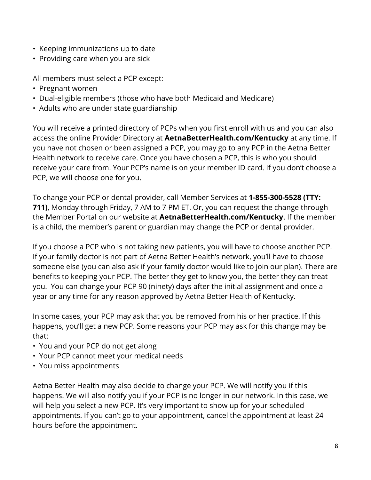- Keeping immunizations up to date
- Providing care when you are sick

All members must select a PCP except:

- Pregnant women
- Dual-eligible members (those who have both Medicaid and Medicare)
- Adults who are under state guardianship

You will receive a printed directory of PCPs when you first enroll with us and you can also access the online Provider Directory at **AetnaBetterHealth.com/Kentucky** at any time. If you have not chosen or been assigned a PCP, you may go to any PCP in the Aetna Better Health network to receive care. Once you have chosen a PCP, this is who you should receive your care from. Your PCP's name is on your member ID card. If you don't choose a PCP, we will choose one for you.

To change your PCP or dental provider, call Member Services at **1-855-300-5528 (TTY: 711)**, Monday through Friday, 7 AM to 7 PM ET. Or, you can request the change through the Member Portal on our website at **AetnaBetterHealth.com/Kentucky**. If the member is a child, the member's parent or guardian may change the PCP or dental provider.

If you choose a PCP who is not taking new patients, you will have to choose another PCP. If your family doctor is not part of Aetna Better Health's network, you'll have to choose someone else (you can also ask if your family doctor would like to join our plan). There are benefits to keeping your PCP. The better they get to know you, the better they can treat you. You can change your PCP 90 (ninety) days after the initial assignment and once a year or any time for any reason approved by Aetna Better Health of Kentucky.

In some cases, your PCP may ask that you be removed from his or her practice. If this happens, you'll get a new PCP. Some reasons your PCP may ask for this change may be that:

- You and your PCP do not get along
- Your PCP cannot meet your medical needs
- You miss appointments

Aetna Better Health may also decide to change your PCP. We will notify you if this happens. We will also notify you if your PCP is no longer in our network. In this case, we will help you select a new PCP. It's very important to show up for your scheduled appointments. If you can't go to your appointment, cancel the appointment at least 24 hours before the appointment.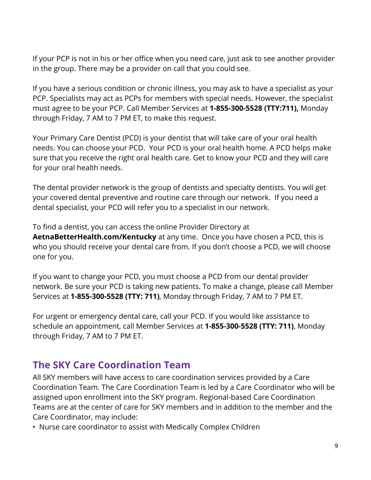If your PCP is not in his or her office when you need care, just ask to see another provider in the group. There may be a provider on call that you could see.

If you have a serious condition or chronic illness, you may ask to have a specialist as your PCP. Specialists may act as PCPs for members with special needs. However, the specialist must agree to be your PCP. Call Member Services at **1-855-300-5528 (TTY:711),** Monday through Friday, 7 AM to 7 PM ET, to make this request.

Your Primary Care Dentist (PCD) is your dentist that will take care of your oral health needs. You can choose your PCD. Your PCD is your oral health home. A PCD helps make sure that you receive the right oral health care. Get to know your PCD and they will care for your oral health needs.

The dental provider network is the group of dentists and specialty dentists. You will get your covered dental preventive and routine care through our network. If you need a dental specialist, your PCD will refer you to a specialist in our network.

To find a dentist, you can access the online Provider Directory at **AetnaBetterHealth.com/Kentucky** at any time. Once you have chosen a PCD, this is who you should receive your dental care from. If you don't choose a PCD, we will choose one for you.

If you want to change your PCD, you must choose a PCD from our dental provider network. Be sure your PCD is taking new patients. To make a change, please call Member Services at **1-855-300-5528 (TTY: 711)**, Monday through Friday, 7 AM to 7 PM ET.

For urgent or emergency dental care, call your PCD. If you would like assistance to schedule an appointment, call Member Services at **1-855-300-5528 (TTY: 711)**, Monday through Friday, 7 AM to 7 PM ET.

## <span id="page-9-0"></span>**The SKY Care Coordination Team**

All SKY members will have access to care coordination services provided by a Care Coordination Team. The Care Coordination Team is led by a Care Coordinator who will be assigned upon enrollment into the SKY program. Regional-based Care Coordination Teams are at the center of care for SKY members and in addition to the member and the Care Coordinator, may include:

• Nurse care coordinator to assist with Medically Complex Children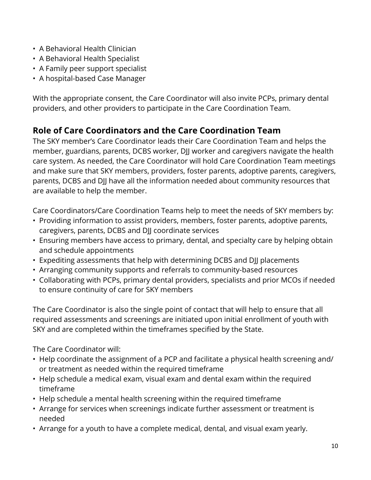- A Behavioral Health Clinician
- A Behavioral Health Specialist
- A Family peer support specialist
- A hospital-based Case Manager

With the appropriate consent, the Care Coordinator will also invite PCPs, primary dental providers, and other providers to participate in the Care Coordination Team.

#### **Role of Care Coordinators and the Care Coordination Team**

The SKY member's Care Coordinator leads their Care Coordination Team and helps the member, guardians, parents, DCBS worker, DJJ worker and caregivers navigate the health care system. As needed, the Care Coordinator will hold Care Coordination Team meetings and make sure that SKY members, providers, foster parents, adoptive parents, caregivers, parents, DCBS and DJJ have all the information needed about community resources that are available to help the member.

Care Coordinators/Care Coordination Teams help to meet the needs of SKY members by:

- Providing information to assist providers, members, foster parents, adoptive parents, caregivers, parents, DCBS and DJJ coordinate services
- Ensuring members have access to primary, dental, and specialty care by helping obtain and schedule appointments
- Expediting assessments that help with determining DCBS and DJJ placements
- Arranging community supports and referrals to community-based resources
- Collaborating with PCPs, primary dental providers, specialists and prior MCOs if needed to ensure continuity of care for SKY members

The Care Coordinator is also the single point of contact that will help to ensure that all required assessments and screenings are initiated upon initial enrollment of youth with SKY and are completed within the timeframes specified by the State.

The Care Coordinator will:

- Help coordinate the assignment of a PCP and facilitate a physical health screening and/ or treatment as needed within the required timeframe
- Help schedule a medical exam, visual exam and dental exam within the required timeframe
- Help schedule a mental health screening within the required timeframe
- Arrange for services when screenings indicate further assessment or treatment is needed
- Arrange for a youth to have a complete medical, dental, and visual exam yearly.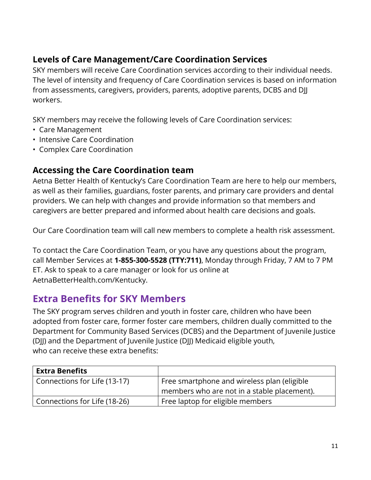#### **Levels of Care Management/Care Coordination Services**

SKY members will receive Care Coordination services according to their individual needs. The level of intensity and frequency of Care Coordination services is based on information from assessments, caregivers, providers, parents, adoptive parents, DCBS and DJJ workers.

SKY members may receive the following levels of Care Coordination services:

- Care Management
- Intensive Care Coordination
- Complex Care Coordination

#### **Accessing the Care Coordination team**

Aetna Better Health of Kentucky's Care Coordination Team are here to help our members, as well as their families, guardians, foster parents, and primary care providers and dental providers. We can help with changes and provide information so that members and caregivers are better prepared and informed about health care decisions and goals.

Our Care Coordination team will call new members to complete a health risk assessment.

To contact the Care Coordination Team, or you have any questions about the program, call Member Services at **1-855-300-5528 (TTY:711)**, Monday through Friday, 7 AM to 7 PM ET. Ask to speak to a care manager or look for us online at AetnaBetterHealth.com/Kentucky.

## <span id="page-11-0"></span>**Extra Benefits for SKY Members**

The SKY program serves children and youth in foster care, children who have been adopted from foster care, former foster care members, children dually committed to the Department for Community Based Services (DCBS) and the Department of Juvenile Justice (DJJ) and the Department of Juvenile Justice (DJJ) Medicaid eligible youth, who can receive these extra benefits:

| <b>Extra Benefits</b>        |                                             |
|------------------------------|---------------------------------------------|
| Connections for Life (13-17) | Free smartphone and wireless plan (eligible |
|                              | members who are not in a stable placement). |
| Connections for Life (18-26) | Free laptop for eligible members            |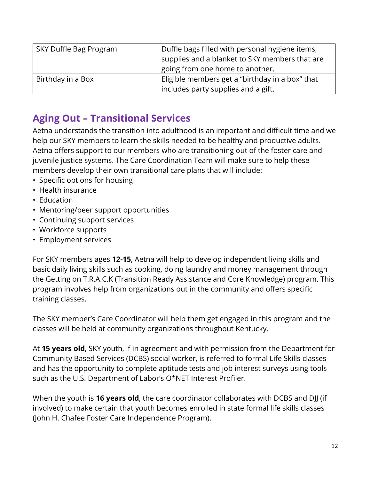| SKY Duffle Bag Program | Duffle bags filled with personal hygiene items,<br>supplies and a blanket to SKY members that are<br>going from one home to another. |
|------------------------|--------------------------------------------------------------------------------------------------------------------------------------|
| Birthday in a Box      | Eligible members get a "birthday in a box" that<br>includes party supplies and a gift.                                               |

## <span id="page-12-0"></span>**Aging Out – Transitional Services**

Aetna understands the transition into adulthood is an important and difficult time and we help our SKY members to learn the skills needed to be healthy and productive adults. Aetna offers support to our members who are transitioning out of the foster care and juvenile justice systems. The Care Coordination Team will make sure to help these members develop their own transitional care plans that will include:

- Specific options for housing
- Health insurance
- Education
- Mentoring/peer support opportunities
- Continuing support services
- Workforce supports
- Employment services

For SKY members ages **12-15**, Aetna will help to develop independent living skills and basic daily living skills such as cooking, doing laundry and money management through the Getting on T.R.A.C.K (Transition Ready Assistance and Core Knowledge) program. This program involves help from organizations out in the community and offers specific training classes.

The SKY member's Care Coordinator will help them get engaged in this program and the classes will be held at community organizations throughout Kentucky.

At **15 years old**, SKY youth, if in agreement and with permission from the Department for Community Based Services (DCBS) social worker, is referred to formal Life Skills classes and has the opportunity to complete aptitude tests and job interest surveys using tools such as the U.S. Department of Labor's O\*NET Interest Profiler.

When the youth is **16 years old**, the care coordinator collaborates with DCBS and DJJ (if involved) to make certain that youth becomes enrolled in state formal life skills classes (John H. Chafee Foster Care Independence Program).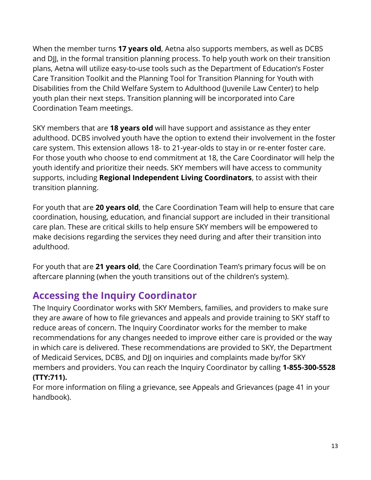When the member turns **17 years old**, Aetna also supports members, as well as DCBS and DJJ, in the formal transition planning process. To help youth work on their transition plans, Aetna will utilize easy-to-use tools such as the Department of Education's Foster Care Transition Toolkit and the Planning Tool for Transition Planning for Youth with Disabilities from the Child Welfare System to Adulthood (Juvenile Law Center) to help youth plan their next steps. Transition planning will be incorporated into Care Coordination Team meetings.

SKY members that are **18 years old** will have support and assistance as they enter adulthood. DCBS involved youth have the option to extend their involvement in the foster care system. This extension allows 18- to 21-year-olds to stay in or re-enter foster care. For those youth who choose to end commitment at 18, the Care Coordinator will help the youth identify and prioritize their needs. SKY members will have access to community supports, including **Regional Independent Living Coordinators**, to assist with their transition planning.

For youth that are **20 years old**, the Care Coordination Team will help to ensure that care coordination, housing, education, and financial support are included in their transitional care plan. These are critical skills to help ensure SKY members will be empowered to make decisions regarding the services they need during and after their transition into adulthood.

For youth that are **21 years old**, the Care Coordination Team's primary focus will be on aftercare planning (when the youth transitions out of the children's system).

## <span id="page-13-0"></span>**Accessing the Inquiry Coordinator**

The Inquiry Coordinator works with SKY Members, families, and providers to make sure they are aware of how to file grievances and appeals and provide training to SKY staff to reduce areas of concern. The Inquiry Coordinator works for the member to make recommendations for any changes needed to improve either care is provided or the way in which care is delivered. These recommendations are provided to SKY, the Department of Medicaid Services, DCBS, and DJJ on inquiries and complaints made by/for SKY members and providers. You can reach the Inquiry Coordinator by calling **1-855-300-5528 (TTY:711).**

For more information on filing a grievance, see Appeals and Grievances (page 41 in your handbook).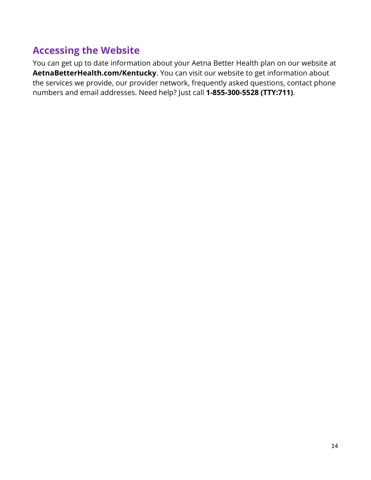## <span id="page-14-0"></span>**Accessing the Website**

You can get up to date information about your Aetna Better Health plan on our website at **AetnaBetterHealth.com/Kentucky**. You can visit our website to get information about the services we provide, our provider network, frequently asked questions, contact phone numbers and email addresses. Need help? Just call **1-855-300-5528 (TTY:711)**.